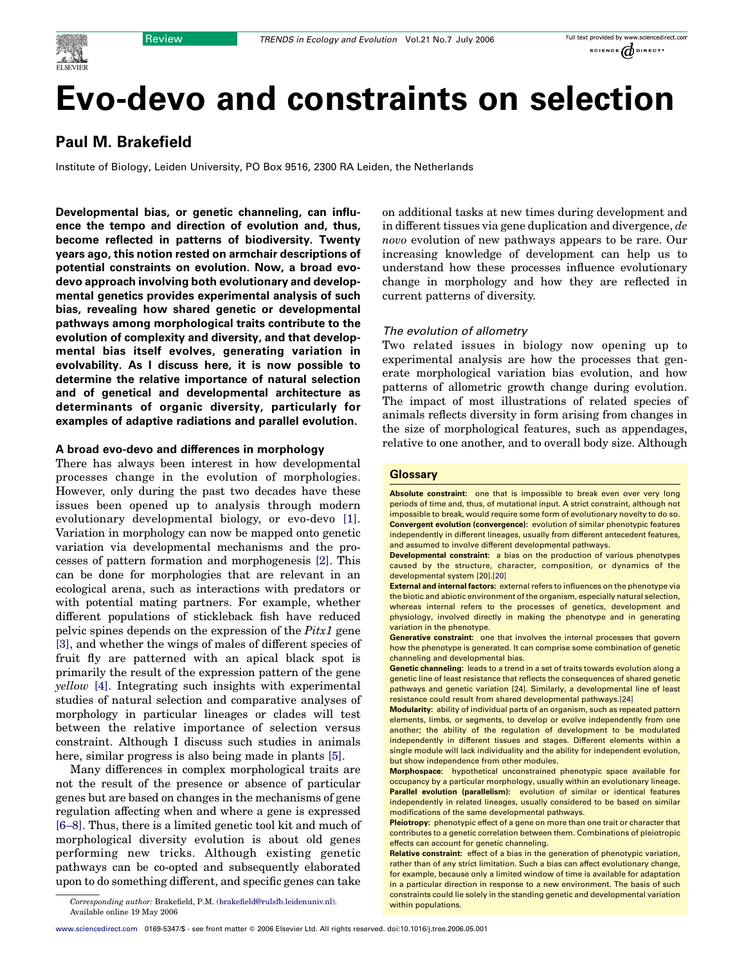# Evo-devo and constraints on selection

# Paul M. Brakefield

Institute of Biology, Leiden University, PO Box 9516, 2300 RA Leiden, the Netherlands

Developmental bias, or genetic channeling, can influence the tempo and direction of evolution and, thus, become reflected in patterns of biodiversity. Twenty years ago, this notion rested on armchair descriptions of potential constraints on evolution. Now, a broad evodevo approach involving both evolutionary and developmental genetics provides experimental analysis of such bias, revealing how shared genetic or developmental pathways among morphological traits contribute to the evolution of complexity and diversity, and that developmental bias itself evolves, generating variation in evolvability. As I discuss here, it is now possible to determine the relative importance of natural selection and of genetical and developmental architecture as determinants of organic diversity, particularly for examples of adaptive radiations and parallel evolution.

# A broad evo-devo and differences in morphology

There has always been interest in how developmental processes change in the evolution of morphologies. However, only during the past two decades have these issues been opened up to analysis through modern evolutionary developmental biology, or evo-devo [\[1\]](#page-5-0). Variation in morphology can now be mapped onto genetic variation via developmental mechanisms and the processes of pattern formation and morphogenesis [\[2\]](#page-5-0). This can be done for morphologies that are relevant in an ecological arena, such as interactions with predators or with potential mating partners. For example, whether different populations of stickleback fish have reduced pelvic spines depends on the expression of the Pitx1 gene [\[3\]](#page-5-0), and whether the wings of males of different species of fruit fly are patterned with an apical black spot is primarily the result of the expression pattern of the gene yellow [\[4\]](#page-5-0). Integrating such insights with experimental studies of natural selection and comparative analyses of morphology in particular lineages or clades will test between the relative importance of selection versus constraint. Although I discuss such studies in animals here, similar progress is also being made in plants [\[5\].](#page-5-0)

Many differences in complex morphological traits are not the result of the presence or absence of particular genes but are based on changes in the mechanisms of gene regulation affecting when and where a gene is expressed [\[6–8\].](#page-5-0) Thus, there is a limited genetic tool kit and much of morphological diversity evolution is about old genes performing new tricks. Although existing genetic pathways can be co-opted and subsequently elaborated upon to do something different, and specific genes can take

on additional tasks at new times during development and in different tissues via gene duplication and divergence, de novo evolution of new pathways appears to be rare. Our increasing knowledge of development can help us to understand how these processes influence evolutionary change in morphology and how they are reflected in current patterns of diversity.

#### The evolution of allometry

Two related issues in biology now opening up to experimental analysis are how the processes that generate morphological variation bias evolution, and how patterns of allometric growth change during evolution. The impact of most illustrations of related species of animals reflects diversity in form arising from changes in the size of morphological features, such as appendages, relative to one another, and to overall body size. Although

#### **Glossary**

Absolute constraint: one that is impossible to break even over very long periods of time and, thus, of mutational input. A strict constraint, although not impossible to break, would require some form of evolutionary novelty to do so. Convergent evolution (convergence): evolution of similar phenotypic features independently in different lineages, usually from different antecedent features. and assumed to involve different developmental pathways.

Developmental constraint: a bias on the production of various phenotypes caused by the structure, character, composition, or dynamics of the developmental system [20][.\[20\]](#page-5-0)

External and internal factors: external refers to influences on the phenotype via the biotic and abiotic environment of the organism, especially natural selection, whereas internal refers to the processes of genetics, development and physiology, involved directly in making the phenotype and in generating variation in the phenotype.

Generative constraint: one that involves the internal processes that govern how the phenotype is generated. It can comprise some combination of genetic channeling and developmental bias.

Genetic channeling: leads to a trend in a set of traits towards evolution along a genetic line of least resistance that reflects the consequences of shared genetic pathways and genetic variation [24]. Similarly, a developmental line of least resistance could result from shared developmental pathways.[\[24\]](#page-5-0)

Modularity: ability of individual parts of an organism, such as repeated pattern elements, limbs, or segments, to develop or evolve independently from one another; the ability of the regulation of development to be modulated independently in different tissues and stages. Different elements within a single module will lack individuality and the ability for independent evolution, but show independence from other modules.

Morphospace: hypothetical unconstrained phenotypic space available for occupancy by a particular morphology, usually within an evolutionary lineage. Parallel evolution (parallelism): evolution of similar or identical features independently in related lineages, usually considered to be based on similar modifications of the same developmental pathways.

Pleiotropy: phenotypic effect of a gene on more than one trait or character that contributes to a genetic correlation between them. Combinations of pleiotropic effects can account for genetic channeling.

Relative constraint: effect of a bias in the generation of phenotypic variation, rather than of any strict limitation. Such a bias can affect evolutionary change, for example, because only a limited window of time is available for adaptation in a particular direction in response to a new environment. The basis of such constraints could lie solely in the standing genetic and developmental variation

Corresponding author: Brakefield, P.M. ([brakefield@rulsfb.leidenuniv.nl](mailto:brakefield@rulsfb.leidenuniv.nl)). within populations. Available online 19 May 2006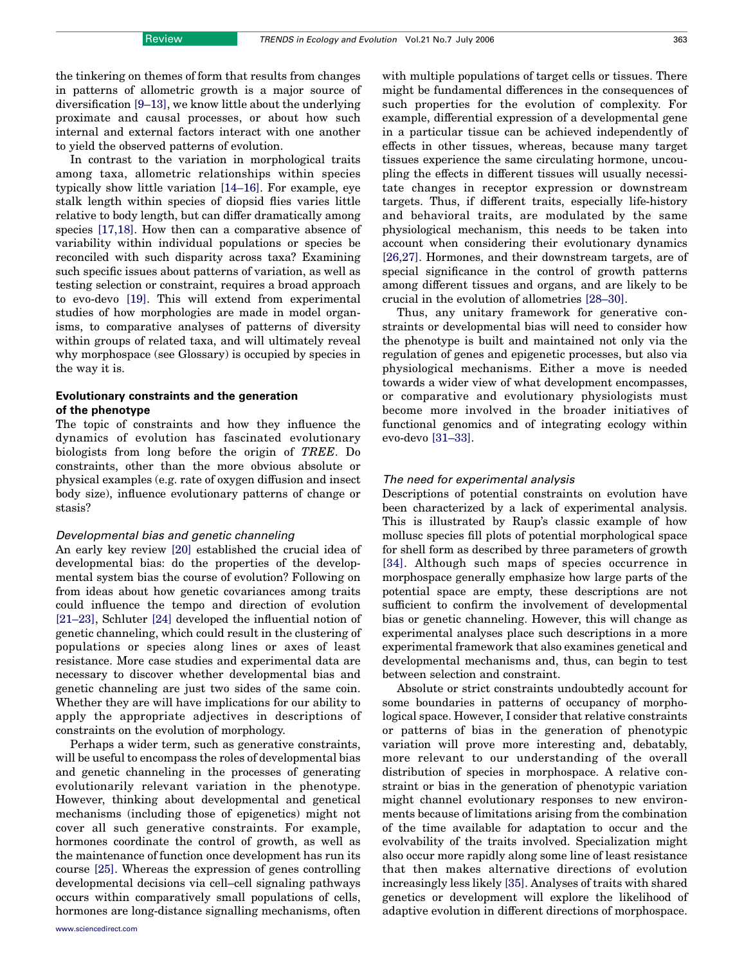In contrast to the variation in morphological traits among taxa, allometric relationships within species typically show little variation [\[14–16\].](#page-5-0) For example, eye stalk length within species of diopsid flies varies little relative to body length, but can differ dramatically among species [\[17,18\]](#page-5-0). How then can a comparative absence of variability within individual populations or species be reconciled with such disparity across taxa? Examining such specific issues about patterns of variation, as well as testing selection or constraint, requires a broad approach to evo-devo [\[19\].](#page-5-0) This will extend from experimental studies of how morphologies are made in model organisms, to comparative analyses of patterns of diversity within groups of related taxa, and will ultimately reveal why morphospace (see Glossary) is occupied by species in the way it is.

# Evolutionary constraints and the generation of the phenotype

The topic of constraints and how they influence the dynamics of evolution has fascinated evolutionary biologists from long before the origin of TREE. Do constraints, other than the more obvious absolute or physical examples (e.g. rate of oxygen diffusion and insect body size), influence evolutionary patterns of change or stasis?

#### Developmental bias and genetic channeling

An early key review [\[20\]](#page-5-0) established the crucial idea of developmental bias: do the properties of the developmental system bias the course of evolution? Following on from ideas about how genetic covariances among traits could influence the tempo and direction of evolution [\[21–23\]](#page-5-0), Schluter [\[24\]](#page-5-0) developed the influential notion of genetic channeling, which could result in the clustering of populations or species along lines or axes of least resistance. More case studies and experimental data are necessary to discover whether developmental bias and genetic channeling are just two sides of the same coin. Whether they are will have implications for our ability to apply the appropriate adjectives in descriptions of constraints on the evolution of morphology.

Perhaps a wider term, such as generative constraints, will be useful to encompass the roles of developmental bias and genetic channeling in the processes of generating evolutionarily relevant variation in the phenotype. However, thinking about developmental and genetical mechanisms (including those of epigenetics) might not cover all such generative constraints. For example, hormones coordinate the control of growth, as well as the maintenance of function once development has run its course [\[25\]](#page-5-0). Whereas the expression of genes controlling developmental decisions via cell–cell signaling pathways occurs within comparatively small populations of cells, hormones are long-distance signalling mechanisms, often

[www.sciencedirect.com](http://www.sciencedirect.com)

with multiple populations of target cells or tissues. There might be fundamental differences in the consequences of such properties for the evolution of complexity. For example, differential expression of a developmental gene in a particular tissue can be achieved independently of effects in other tissues, whereas, because many target tissues experience the same circulating hormone, uncoupling the effects in different tissues will usually necessitate changes in receptor expression or downstream targets. Thus, if different traits, especially life-history and behavioral traits, are modulated by the same physiological mechanism, this needs to be taken into account when considering their evolutionary dynamics [\[26,27\].](#page-5-0) Hormones, and their downstream targets, are of special significance in the control of growth patterns among different tissues and organs, and are likely to be crucial in the evolution of allometries [\[28–30\]](#page-5-0).

Thus, any unitary framework for generative constraints or developmental bias will need to consider how the phenotype is built and maintained not only via the regulation of genes and epigenetic processes, but also via physiological mechanisms. Either a move is needed towards a wider view of what development encompasses, or comparative and evolutionary physiologists must become more involved in the broader initiatives of functional genomics and of integrating ecology within evo-devo [\[31–33\].](#page-5-0)

# The need for experimental analysis

Descriptions of potential constraints on evolution have been characterized by a lack of experimental analysis. This is illustrated by Raup's classic example of how mollusc species fill plots of potential morphological space for shell form as described by three parameters of growth [\[34\].](#page-5-0) Although such maps of species occurrence in morphospace generally emphasize how large parts of the potential space are empty, these descriptions are not sufficient to confirm the involvement of developmental bias or genetic channeling. However, this will change as experimental analyses place such descriptions in a more experimental framework that also examines genetical and developmental mechanisms and, thus, can begin to test between selection and constraint.

Absolute or strict constraints undoubtedly account for some boundaries in patterns of occupancy of morphological space. However, I consider that relative constraints or patterns of bias in the generation of phenotypic variation will prove more interesting and, debatably, more relevant to our understanding of the overall distribution of species in morphospace. A relative constraint or bias in the generation of phenotypic variation might channel evolutionary responses to new environments because of limitations arising from the combination of the time available for adaptation to occur and the evolvability of the traits involved. Specialization might also occur more rapidly along some line of least resistance that then makes alternative directions of evolution increasingly less likely [\[35\].](#page-5-0) Analyses of traits with shared genetics or development will explore the likelihood of adaptive evolution in different directions of morphospace.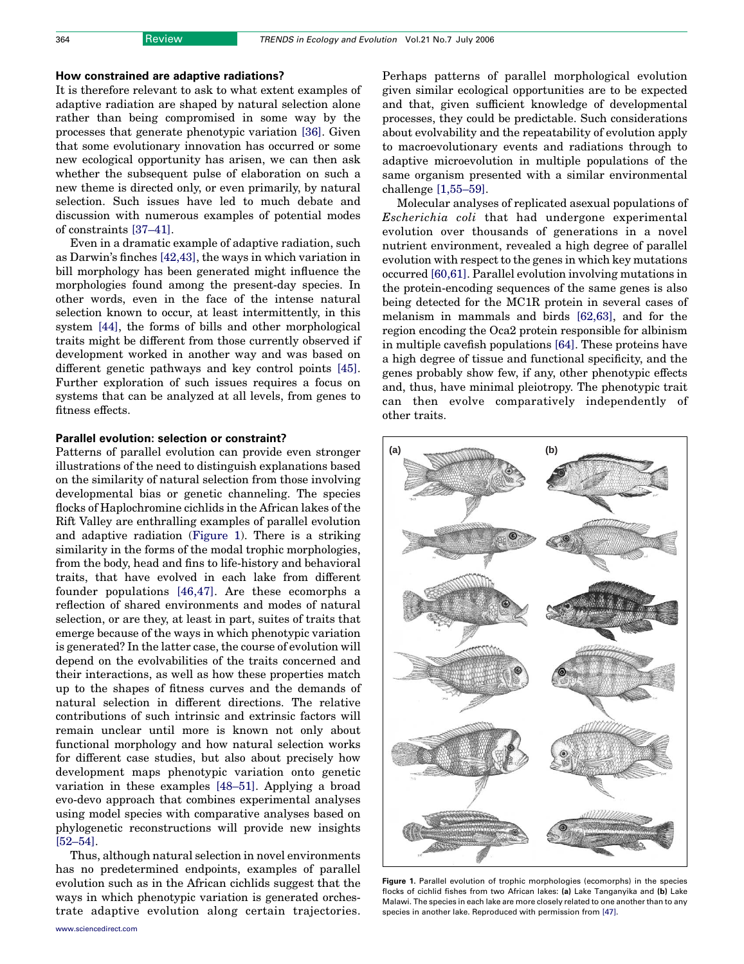#### How constrained are adaptive radiations?

It is therefore relevant to ask to what extent examples of adaptive radiation are shaped by natural selection alone rather than being compromised in some way by the processes that generate phenotypic variation [\[36\].](#page-5-0) Given that some evolutionary innovation has occurred or some new ecological opportunity has arisen, we can then ask whether the subsequent pulse of elaboration on such a new theme is directed only, or even primarily, by natural selection. Such issues have led to much debate and discussion with numerous examples of potential modes of constraints [\[37–41\].](#page-5-0)

Even in a dramatic example of adaptive radiation, such as Darwin's finches [\[42,43\]](#page-5-0), the ways in which variation in bill morphology has been generated might influence the morphologies found among the present-day species. In other words, even in the face of the intense natural selection known to occur, at least intermittently, in this system [\[44\]](#page-5-0), the forms of bills and other morphological traits might be different from those currently observed if development worked in another way and was based on different genetic pathways and key control points [\[45\]](#page-5-0). Further exploration of such issues requires a focus on systems that can be analyzed at all levels, from genes to fitness effects.

#### Parallel evolution: selection or constraint?

Patterns of parallel evolution can provide even stronger illustrations of the need to distinguish explanations based on the similarity of natural selection from those involving developmental bias or genetic channeling. The species flocks of Haplochromine cichlids in the African lakes of the Rift Valley are enthralling examples of parallel evolution and adaptive radiation (Figure 1). There is a striking similarity in the forms of the modal trophic morphologies, from the body, head and fins to life-history and behavioral traits, that have evolved in each lake from different founder populations [\[46,47\]](#page-5-0). Are these ecomorphs a reflection of shared environments and modes of natural selection, or are they, at least in part, suites of traits that emerge because of the ways in which phenotypic variation is generated? In the latter case, the course of evolution will depend on the evolvabilities of the traits concerned and their interactions, as well as how these properties match up to the shapes of fitness curves and the demands of natural selection in different directions. The relative contributions of such intrinsic and extrinsic factors will remain unclear until more is known not only about functional morphology and how natural selection works for different case studies, but also about precisely how development maps phenotypic variation onto genetic variation in these examples [\[48–51\]](#page-5-0). Applying a broad evo-devo approach that combines experimental analyses using model species with comparative analyses based on phylogenetic reconstructions will provide new insights [\[52–54\]](#page-6-0).

Thus, although natural selection in novel environments has no predetermined endpoints, examples of parallel evolution such as in the African cichlids suggest that the ways in which phenotypic variation is generated orchestrate adaptive evolution along certain trajectories.

[www.sciencedirect.com](http://www.sciencedirect.com)

Perhaps patterns of parallel morphological evolution given similar ecological opportunities are to be expected and that, given sufficient knowledge of developmental processes, they could be predictable. Such considerations about evolvability and the repeatability of evolution apply to macroevolutionary events and radiations through to adaptive microevolution in multiple populations of the same organism presented with a similar environmental challenge [\[1,55–59\].](#page-5-0)

Molecular analyses of replicated asexual populations of Escherichia coli that had undergone experimental evolution over thousands of generations in a novel nutrient environment, revealed a high degree of parallel evolution with respect to the genes in which key mutations occurred [\[60,61\]](#page-6-0). Parallel evolution involving mutations in the protein-encoding sequences of the same genes is also being detected for the MC1R protein in several cases of melanism in mammals and birds [\[62,63\]](#page-6-0), and for the region encoding the Oca2 protein responsible for albinism in multiple cavefish populations [\[64\]](#page-6-0). These proteins have a high degree of tissue and functional specificity, and the genes probably show few, if any, other phenotypic effects and, thus, have minimal pleiotropy. The phenotypic trait can then evolve comparatively independently of other traits.

Figure 1. Parallel evolution of trophic morphologies (ecomorphs) in the species flocks of cichlid fishes from two African lakes: (a) Lake Tanganyika and (b) Lake Malawi. The species in each lake are more closely related to one another than to any species in another lake. Reproduced with permission from [\[47\]](#page-5-0).

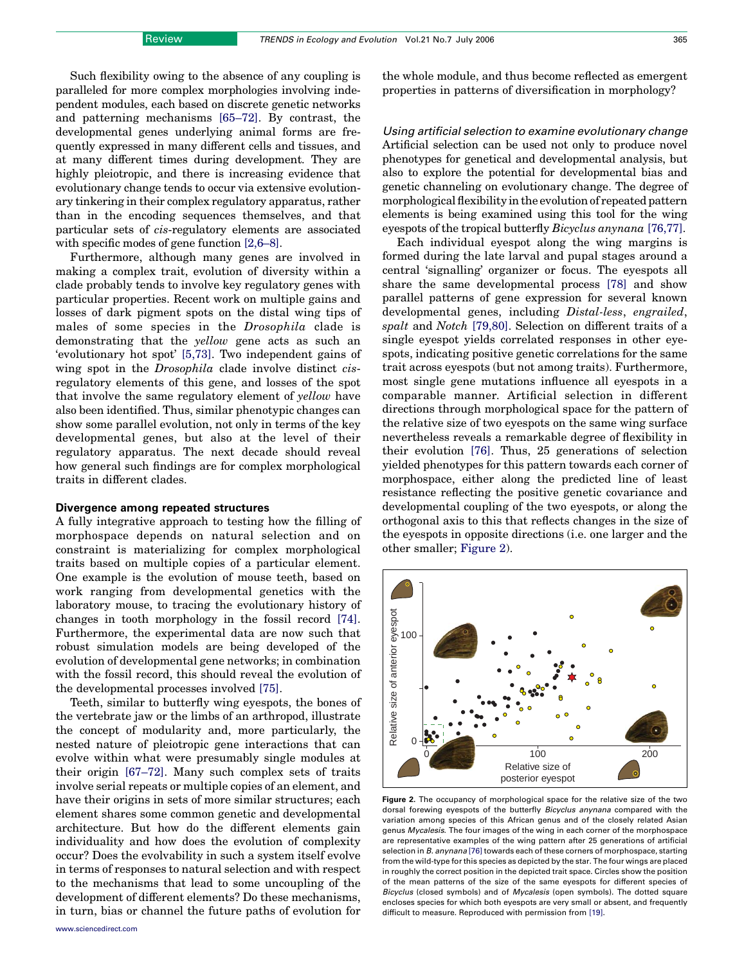<span id="page-3-0"></span>Such flexibility owing to the absence of any coupling is paralleled for more complex morphologies involving independent modules, each based on discrete genetic networks and patterning mechanisms [\[65–72\].](#page-6-0) By contrast, the developmental genes underlying animal forms are frequently expressed in many different cells and tissues, and at many different times during development. They are highly pleiotropic, and there is increasing evidence that evolutionary change tends to occur via extensive evolutionary tinkering in their complex regulatory apparatus, rather than in the encoding sequences themselves, and that particular sets of cis-regulatory elements are associated with specific modes of gene function [\[2,6–8\].](#page-5-0)

Furthermore, although many genes are involved in making a complex trait, evolution of diversity within a clade probably tends to involve key regulatory genes with particular properties. Recent work on multiple gains and losses of dark pigment spots on the distal wing tips of males of some species in the Drosophila clade is demonstrating that the yellow gene acts as such an 'evolutionary hot spot' [\[5,73\]](#page-5-0). Two independent gains of wing spot in the *Drosophila* clade involve distinct *cis*regulatory elements of this gene, and losses of the spot that involve the same regulatory element of yellow have also been identified. Thus, similar phenotypic changes can show some parallel evolution, not only in terms of the key developmental genes, but also at the level of their regulatory apparatus. The next decade should reveal how general such findings are for complex morphological traits in different clades.

#### Divergence among repeated structures

A fully integrative approach to testing how the filling of morphospace depends on natural selection and on constraint is materializing for complex morphological traits based on multiple copies of a particular element. One example is the evolution of mouse teeth, based on work ranging from developmental genetics with the laboratory mouse, to tracing the evolutionary history of changes in tooth morphology in the fossil record [\[74\]](#page-6-0). Furthermore, the experimental data are now such that robust simulation models are being developed of the evolution of developmental gene networks; in combination with the fossil record, this should reveal the evolution of the developmental processes involved [\[75\].](#page-6-0)

Teeth, similar to butterfly wing eyespots, the bones of the vertebrate jaw or the limbs of an arthropod, illustrate the concept of modularity and, more particularly, the nested nature of pleiotropic gene interactions that can evolve within what were presumably single modules at their origin [\[67–72\]](#page-6-0). Many such complex sets of traits involve serial repeats or multiple copies of an element, and have their origins in sets of more similar structures; each element shares some common genetic and developmental architecture. But how do the different elements gain individuality and how does the evolution of complexity occur? Does the evolvability in such a system itself evolve in terms of responses to natural selection and with respect to the mechanisms that lead to some uncoupling of the development of different elements? Do these mechanisms, in turn, bias or channel the future paths of evolution for the whole module, and thus become reflected as emergent properties in patterns of diversification in morphology?

Using artificial selection to examine evolutionary change Artificial selection can be used not only to produce novel phenotypes for genetical and developmental analysis, but also to explore the potential for developmental bias and genetic channeling on evolutionary change. The degree of morphological flexibility in the evolution of repeated pattern elements is being examined using this tool for the wing eyespots of the tropical butterfly Bicyclus anynana [\[76,77\].](#page-6-0)

Each individual eyespot along the wing margins is formed during the late larval and pupal stages around a central 'signalling' organizer or focus. The eyespots all share the same developmental process [\[78\]](#page-6-0) and show parallel patterns of gene expression for several known developmental genes, including Distal-less, engrailed, spalt and Notch [\[79,80\].](#page-6-0) Selection on different traits of a single eyespot yields correlated responses in other eyespots, indicating positive genetic correlations for the same trait across eyespots (but not among traits). Furthermore, most single gene mutations influence all eyespots in a comparable manner. Artificial selection in different directions through morphological space for the pattern of the relative size of two eyespots on the same wing surface nevertheless reveals a remarkable degree of flexibility in their evolution [\[76\]](#page-6-0). Thus, 25 generations of selection yielded phenotypes for this pattern towards each corner of morphospace, either along the predicted line of least resistance reflecting the positive genetic covariance and developmental coupling of the two eyespots, or along the orthogonal axis to this that reflects changes in the size of the eyespots in opposite directions (i.e. one larger and the other smaller; Figure 2).



Figure 2. The occupancy of morphological space for the relative size of the two dorsal forewing eyespots of the butterfly Bicyclus anynana compared with the variation among species of this African genus and of the closely related Asian genus Mycalesis. The four images of the wing in each corner of the morphospace are representative examples of the wing pattern after 25 generations of artificial selection in B. anynana [\[76\]](#page-6-0) towards each of these corners of morphospace, starting from the wild-type for this species as depicted by the star. The four wings are placed in roughly the correct position in the depicted trait space. Circles show the position of the mean patterns of the size of the same eyespots for different species of Bicyclus (closed symbols) and of Mycalesis (open symbols). The dotted square encloses species for which both eyespots are very small or absent, and frequently difficult to measure. Reproduced with permission from [\[19\]](#page-5-0).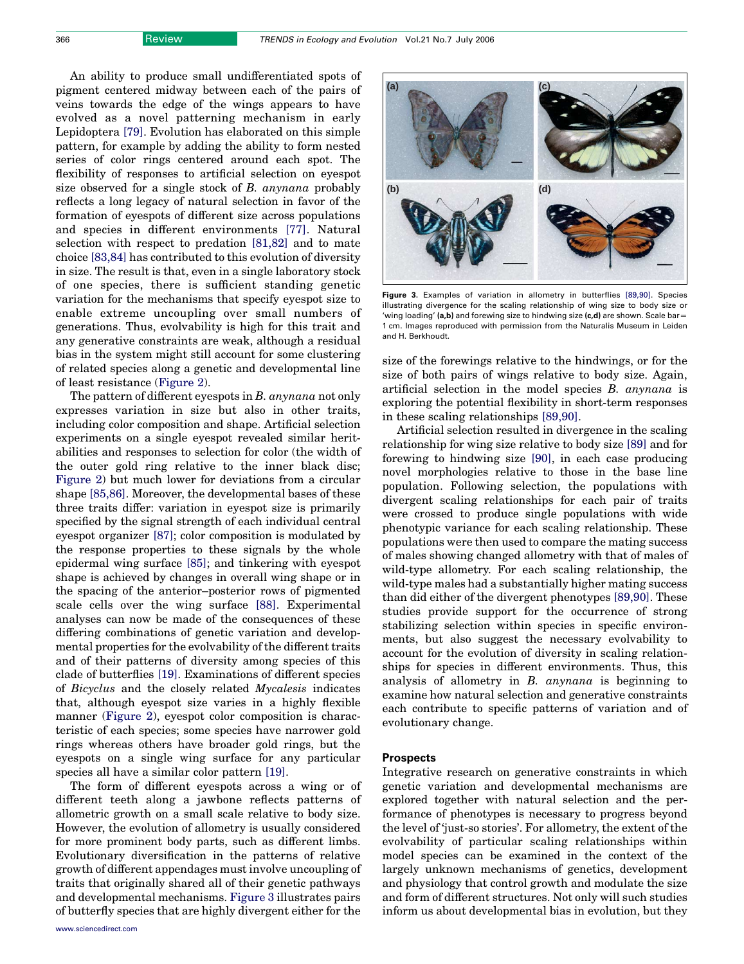An ability to produce small undifferentiated spots of pigment centered midway between each of the pairs of veins towards the edge of the wings appears to have evolved as a novel patterning mechanism in early Lepidoptera [\[79\]](#page-6-0). Evolution has elaborated on this simple pattern, for example by adding the ability to form nested series of color rings centered around each spot. The flexibility of responses to artificial selection on eyespot size observed for a single stock of B. anynana probably reflects a long legacy of natural selection in favor of the formation of eyespots of different size across populations and species in different environments [\[77\]](#page-6-0). Natural selection with respect to predation [\[81,82\]](#page-6-0) and to mate choice [\[83,84\]](#page-6-0) has contributed to this evolution of diversity in size. The result is that, even in a single laboratory stock of one species, there is sufficient standing genetic variation for the mechanisms that specify eyespot size to enable extreme uncoupling over small numbers of generations. Thus, evolvability is high for this trait and any generative constraints are weak, although a residual bias in the system might still account for some clustering of related species along a genetic and developmental line of least resistance ([Figure 2\)](#page-3-0).

The pattern of different eyespots in B. anynana not only expresses variation in size but also in other traits, including color composition and shape. Artificial selection experiments on a single eyespot revealed similar heritabilities and responses to selection for color (the width of the outer gold ring relative to the inner black disc; [Figure 2\)](#page-3-0) but much lower for deviations from a circular shape [\[85,86\].](#page-6-0) Moreover, the developmental bases of these three traits differ: variation in eyespot size is primarily specified by the signal strength of each individual central eyespot organizer [\[87\];](#page-6-0) color composition is modulated by the response properties to these signals by the whole epidermal wing surface [\[85\]](#page-6-0); and tinkering with eyespot shape is achieved by changes in overall wing shape or in the spacing of the anterior–posterior rows of pigmented scale cells over the wing surface [\[88\]](#page-6-0). Experimental analyses can now be made of the consequences of these differing combinations of genetic variation and developmental properties for the evolvability of the different traits and of their patterns of diversity among species of this clade of butterflies [\[19\]](#page-5-0). Examinations of different species of Bicyclus and the closely related Mycalesis indicates that, although eyespot size varies in a highly flexible manner [\(Figure 2\)](#page-3-0), eyespot color composition is characteristic of each species; some species have narrower gold rings whereas others have broader gold rings, but the eyespots on a single wing surface for any particular species all have a similar color pattern [\[19\]](#page-5-0).

The form of different eyespots across a wing or of different teeth along a jawbone reflects patterns of allometric growth on a small scale relative to body size. However, the evolution of allometry is usually considered for more prominent body parts, such as different limbs. Evolutionary diversification in the patterns of relative growth of different appendages must involve uncoupling of traits that originally shared all of their genetic pathways and developmental mechanisms. Figure 3 illustrates pairs of butterfly species that are highly divergent either for the



Figure 3. Examples of variation in allometry in butterflies [\[89,90\].](#page-6-0) Species illustrating divergence for the scaling relationship of wing size to body size or 'wing loading' (a,b) and forewing size to hindwing size (c,d) are shown. Scale bar*Z* 1 cm. Images reproduced with permission from the Naturalis Museum in Leiden and H. Berkhoudt.

size of the forewings relative to the hindwings, or for the size of both pairs of wings relative to body size. Again, artificial selection in the model species B. anynana is exploring the potential flexibility in short-term responses in these scaling relationships [\[89,90\].](#page-6-0)

Artificial selection resulted in divergence in the scaling relationship for wing size relative to body size [\[89\]](#page-6-0) and for forewing to hindwing size [\[90\]](#page-6-0), in each case producing novel morphologies relative to those in the base line population. Following selection, the populations with divergent scaling relationships for each pair of traits were crossed to produce single populations with wide phenotypic variance for each scaling relationship. These populations were then used to compare the mating success of males showing changed allometry with that of males of wild-type allometry. For each scaling relationship, the wild-type males had a substantially higher mating success than did either of the divergent phenotypes [\[89,90\].](#page-6-0) These studies provide support for the occurrence of strong stabilizing selection within species in specific environments, but also suggest the necessary evolvability to account for the evolution of diversity in scaling relationships for species in different environments. Thus, this analysis of allometry in B. anynana is beginning to examine how natural selection and generative constraints each contribute to specific patterns of variation and of evolutionary change.

# Prospects

Integrative research on generative constraints in which genetic variation and developmental mechanisms are explored together with natural selection and the performance of phenotypes is necessary to progress beyond the level of 'just-so stories'. For allometry, the extent of the evolvability of particular scaling relationships within model species can be examined in the context of the largely unknown mechanisms of genetics, development and physiology that control growth and modulate the size and form of different structures. Not only will such studies inform us about developmental bias in evolution, but they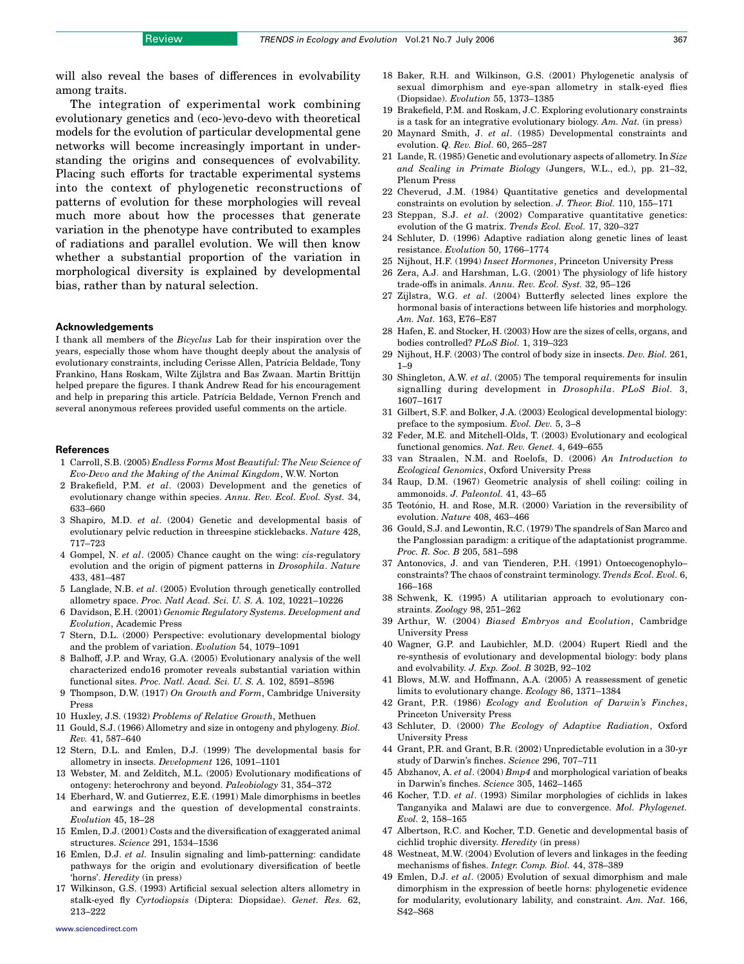<span id="page-5-0"></span>The integration of experimental work combining evolutionary genetics and (eco-)evo-devo with theoretical models for the evolution of particular developmental gene networks will become increasingly important in understanding the origins and consequences of evolvability. Placing such efforts for tractable experimental systems into the context of phylogenetic reconstructions of patterns of evolution for these morphologies will reveal much more about how the processes that generate variation in the phenotype have contributed to examples of radiations and parallel evolution. We will then know whether a substantial proportion of the variation in morphological diversity is explained by developmental bias, rather than by natural selection.

#### Acknowledgements

I thank all members of the Bicyclus Lab for their inspiration over the years, especially those whom have thought deeply about the analysis of evolutionary constraints, including Cerisse Allen, Patrícia Beldade, Tony Frankino, Hans Roskam, Wilte Zijlstra and Bas Zwaan. Martin Brittijn helped prepare the figures. I thank Andrew Read for his encouragement and help in preparing this article. Patrícia Beldade, Vernon French and several anonymous referees provided useful comments on the article.

#### **References**

- 1 Carroll, S.B. (2005) Endless Forms Most Beautiful: The New Science of Evo-Devo and the Making of the Animal Kingdom, W.W. Norton
- 2 Brakefield, P.M. et al. (2003) Development and the genetics of evolutionary change within species. Annu. Rev. Ecol. Evol. Syst. 34, 633–660
- 3 Shapiro, M.D. et al. (2004) Genetic and developmental basis of evolutionary pelvic reduction in threespine sticklebacks. Nature 428, 717–723
- 4 Gompel, N. et al. (2005) Chance caught on the wing: cis-regulatory evolution and the origin of pigment patterns in Drosophila. Nature 433, 481–487
- 5 Langlade, N.B. et al. (2005) Evolution through genetically controlled allometry space. Proc. Natl Acad. Sci. U. S. A. 102, 10221–10226
- 6 Davidson, E.H. (2001) Genomic Regulatory Systems. Development and Evolution, Academic Press
- 7 Stern, D.L. (2000) Perspective: evolutionary developmental biology and the problem of variation. Evolution 54, 1079–1091
- 8 Balhoff, J.P. and Wray, G.A. (2005) Evolutionary analysis of the well characterized endo16 promoter reveals substantial variation within functional sites. Proc. Natl. Acad. Sci. U. S. A. 102, 8591–8596
- 9 Thompson, D.W. (1917) On Growth and Form, Cambridge University Press
- 10 Huxley, J.S. (1932) Problems of Relative Growth, Methuen
- 11 Gould, S.J. (1966) Allometry and size in ontogeny and phylogeny. Biol. Rev. 41, 587–640
- 12 Stern, D.L. and Emlen, D.J. (1999) The developmental basis for allometry in insects. Development 126, 1091–1101
- 13 Webster, M. and Zelditch, M.L. (2005) Evolutionary modifications of ontogeny: heterochrony and beyond. Paleobiology 31, 354–372
- 14 Eberhard, W. and Gutierrez, E.E. (1991) Male dimorphisms in beetles and earwings and the question of developmental constraints. Evolution 45, 18–28
- 15 Emlen, D.J. (2001) Costs and the diversification of exaggerated animal structures. Science 291, 1534–1536
- 16 Emlen, D.J. et al. Insulin signaling and limb-patterning: candidate pathways for the origin and evolutionary diversification of beetle 'horns'. Heredity (in press)
- 17 Wilkinson, G.S. (1993) Artificial sexual selection alters allometry in stalk-eyed fly Cyrtodiopsis (Diptera: Diopsidae). Genet. Res. 62, 213–222
- [www.sciencedirect.com](http://www.sciencedirect.com)
- 18 Baker, R.H. and Wilkinson, G.S. (2001) Phylogenetic analysis of sexual dimorphism and eye-span allometry in stalk-eyed flies (Diopsidae). Evolution 55, 1373–1385
- 19 Brakefield, P.M. and Roskam, J.C. Exploring evolutionary constraints is a task for an integrative evolutionary biology. Am. Nat. (in press)
- 20 Maynard Smith, J. et al. (1985) Developmental constraints and evolution. Q. Rev. Biol. 60, 265–287
- 21 Lande, R. (1985) Genetic and evolutionary aspects of allometry. In Size and Scaling in Primate Biology (Jungers, W.L., ed.), pp. 21–32, Plenum Press
- 22 Cheverud, J.M. (1984) Quantitative genetics and developmental constraints on evolution by selection. J. Theor. Biol. 110, 155–171
- 23 Steppan, S.J. et al. (2002) Comparative quantitative genetics: evolution of the G matrix. Trends Ecol. Evol. 17, 320–327
- 24 Schluter, D. (1996) Adaptive radiation along genetic lines of least resistance. Evolution 50, 1766–1774
- 25 Nijhout, H.F. (1994) Insect Hormones, Princeton University Press
- 26 Zera, A.J. and Harshman, L.G. (2001) The physiology of life history trade-offs in animals. Annu. Rev. Ecol. Syst. 32, 95–126
- 27 Zijlstra, W.G. et al. (2004) Butterfly selected lines explore the hormonal basis of interactions between life histories and morphology. Am. Nat. 163, E76–E87
- 28 Hafen, E. and Stocker, H. (2003) How are the sizes of cells, organs, and bodies controlled? PLoS Biol. 1, 319–323
- 29 Nijhout, H.F. (2003) The control of body size in insects. Dev. Biol. 261, 1–9
- 30 Shingleton, A.W. et al. (2005) The temporal requirements for insulin signalling during development in Drosophila. PLoS Biol. 3, 1607–1617
- 31 Gilbert, S.F. and Bolker, J.A. (2003) Ecological developmental biology: preface to the symposium. Evol. Dev. 5, 3–8
- 32 Feder, M.E. and Mitchell-Olds, T. (2003) Evolutionary and ecological functional genomics. Nat. Rev. Genet. 4, 649–655
- 33 van Straalen, N.M. and Roelofs, D. (2006) An Introduction to Ecological Genomics, Oxford University Press
- 34 Raup, D.M. (1967) Geometric analysis of shell coiling: coiling in ammonoids. J. Paleontol. 41, 43–65
- 35 Teotónio, H. and Rose, M.R. (2000) Variation in the reversibility of evolution. Nature 408, 463–466
- 36 Gould, S.J. and Lewontin, R.C. (1979) The spandrels of San Marco and the Panglossian paradigm: a critique of the adaptationist programme. Proc. R. Soc. B 205, 581–598
- 37 Antonovics, J. and van Tienderen, P.H. (1991) Ontoecogenophylo– constraints? The chaos of constraint terminology. Trends Ecol. Evol. 6, 166–168
- 38 Schwenk, K. (1995) A utilitarian approach to evolutionary constraints. Zoology 98, 251–262
- 39 Arthur, W. (2004) Biased Embryos and Evolution, Cambridge University Press
- 40 Wagner, G.P. and Laubichler, M.D. (2004) Rupert Riedl and the re-synthesis of evolutionary and developmental biology: body plans and evolvability. J. Exp. Zool. B 302B, 92–102
- 41 Blows, M.W. and Hoffmann, A.A. (2005) A reassessment of genetic limits to evolutionary change. Ecology 86, 1371–1384
- 42 Grant, P.R. (1986) Ecology and Evolution of Darwin's Finches, Princeton University Press
- 43 Schluter, D. (2000) The Ecology of Adaptive Radiation, Oxford University Press
- 44 Grant, P.R. and Grant, B.R. (2002) Unpredictable evolution in a 30-yr study of Darwin's finches. Science 296, 707–711
- 45 Abzhanov, A. et al. (2004) Bmp4 and morphological variation of beaks in Darwin's finches. Science 305, 1462–1465
- 46 Kocher, T.D. et al. (1993) Similar morphologies of cichlids in lakes Tanganyika and Malawi are due to convergence. Mol. Phylogenet. Evol. 2, 158–165
- 47 Albertson, R.C. and Kocher, T.D. Genetic and developmental basis of cichlid trophic diversity. Heredity (in press)
- 48 Westneat, M.W. (2004) Evolution of levers and linkages in the feeding mechanisms of fishes. Integr. Comp. Biol. 44, 378–389
- 49 Emlen, D.J. et al. (2005) Evolution of sexual dimorphism and male dimorphism in the expression of beetle horns: phylogenetic evidence for modularity, evolutionary lability, and constraint. Am. Nat. 166, S42–S68